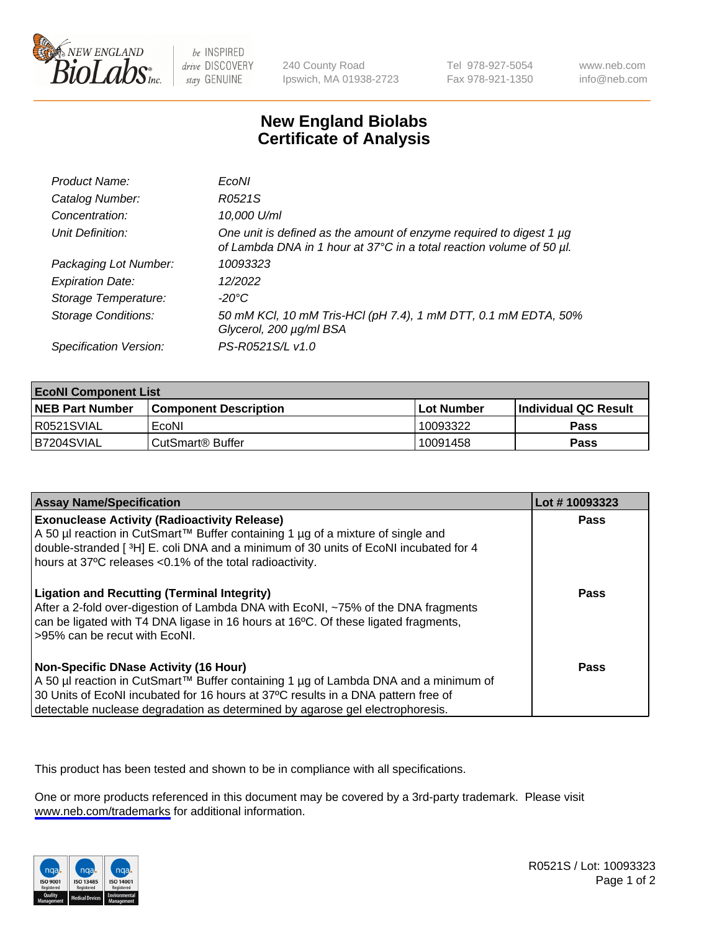

be INSPIRED drive DISCOVERY stay GENUINE

240 County Road Ipswich, MA 01938-2723 Tel 978-927-5054 Fax 978-921-1350

www.neb.com info@neb.com

## **New England Biolabs Certificate of Analysis**

| Product Name:              | EcoNI                                                                                                                                       |
|----------------------------|---------------------------------------------------------------------------------------------------------------------------------------------|
| Catalog Number:            | R0521S                                                                                                                                      |
| Concentration:             | 10,000 U/ml                                                                                                                                 |
| Unit Definition:           | One unit is defined as the amount of enzyme required to digest 1 µg<br>of Lambda DNA in 1 hour at 37°C in a total reaction volume of 50 µl. |
| Packaging Lot Number:      | 10093323                                                                                                                                    |
| <b>Expiration Date:</b>    | 12/2022                                                                                                                                     |
| Storage Temperature:       | $-20^{\circ}$ C                                                                                                                             |
| <b>Storage Conditions:</b> | 50 mM KCl, 10 mM Tris-HCl (pH 7.4), 1 mM DTT, 0.1 mM EDTA, 50%<br>Glycerol, 200 µg/ml BSA                                                   |
| Specification Version:     | PS-R0521S/L v1.0                                                                                                                            |

| <b>EcoNI Component List</b> |                         |              |                             |  |
|-----------------------------|-------------------------|--------------|-----------------------------|--|
| <b>NEB Part Number</b>      | l Component Description | l Lot Number | <b>Individual QC Result</b> |  |
| I R0521SVIAL                | EcoNI                   | 10093322     | <b>Pass</b>                 |  |
| B7204SVIAL                  | l CutSmart® Buffer      | 10091458     | Pass                        |  |

| <b>Assay Name/Specification</b>                                                                                                                                                                                                                                                                           | Lot #10093323 |
|-----------------------------------------------------------------------------------------------------------------------------------------------------------------------------------------------------------------------------------------------------------------------------------------------------------|---------------|
| <b>Exonuclease Activity (Radioactivity Release)</b><br>A 50 µl reaction in CutSmart™ Buffer containing 1 µg of a mixture of single and<br>double-stranded [3H] E. coli DNA and a minimum of 30 units of EcoNI incubated for 4<br>hours at 37°C releases <0.1% of the total radioactivity.                 | Pass          |
| <b>Ligation and Recutting (Terminal Integrity)</b><br>After a 2-fold over-digestion of Lambda DNA with EcoNI, ~75% of the DNA fragments<br>can be ligated with T4 DNA ligase in 16 hours at 16°C. Of these ligated fragments,<br>>95% can be recut with EcoNI.                                            | <b>Pass</b>   |
| <b>Non-Specific DNase Activity (16 Hour)</b><br>A 50 µl reaction in CutSmart™ Buffer containing 1 µg of Lambda DNA and a minimum of<br>30 Units of EcoNI incubated for 16 hours at 37°C results in a DNA pattern free of<br>detectable nuclease degradation as determined by agarose gel electrophoresis. | Pass          |

This product has been tested and shown to be in compliance with all specifications.

One or more products referenced in this document may be covered by a 3rd-party trademark. Please visit <www.neb.com/trademarks>for additional information.